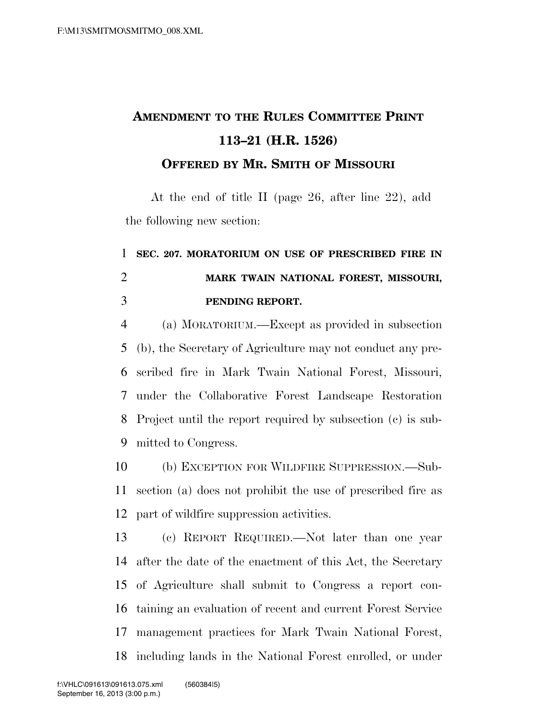## **AMENDMENT TO THE RULES COMMITTEE PRINT 113–21 (H.R. 1526) OFFERED BY MR. SMITH OF MISSOURI**

At the end of title II (page 26, after line 22), add the following new section:

## **SEC. 207. MORATORIUM ON USE OF PRESCRIBED FIRE IN MARK TWAIN NATIONAL FOREST, MISSOURI, PENDING REPORT.**

 (a) MORATORIUM.—Except as provided in subsection (b), the Secretary of Agriculture may not conduct any pre- scribed fire in Mark Twain National Forest, Missouri, under the Collaborative Forest Landscape Restoration Project until the report required by subsection (c) is sub-mitted to Congress.

 (b) EXCEPTION FOR WILDFIRE SUPPRESSION.—Sub- section (a) does not prohibit the use of prescribed fire as part of wildfire suppression activities.

 (c) REPORT REQUIRED.—Not later than one year after the date of the enactment of this Act, the Secretary of Agriculture shall submit to Congress a report con- taining an evaluation of recent and current Forest Service management practices for Mark Twain National Forest, including lands in the National Forest enrolled, or under